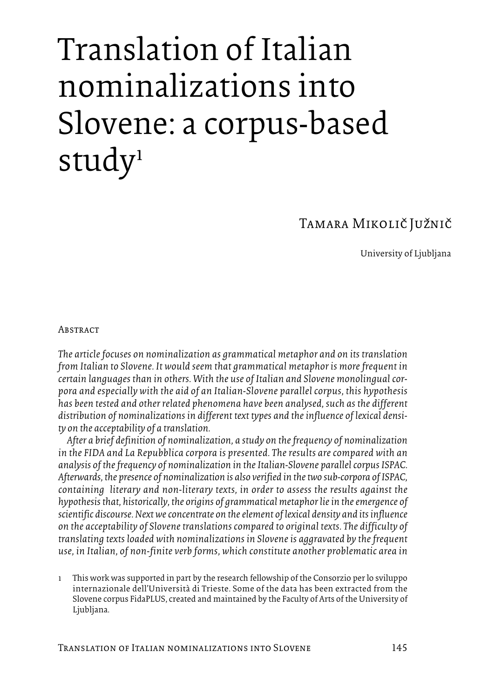# Translation of Italian nominalizations into Slovene: a corpus-based study<sup>1</sup>

# Tamara Mikolič Južnič

University of Ljubljana

#### **ABSTRACT**

*The articlefocuses on nominalization as grammatical metaphor and on its translation from Italian to Slovene. It would seem that grammatical metaphor is morefrequent in certain languages than in others. With the use of Italian and Slovene monolingual corpora and especially with the aid of an Italian-Slovene parallel corpus, this hypothesis has been tested and other related phenomena have been analysed, such as the different distribution of nominalizations in different text types and theinfluence of lexical density on the acceptability of a translation.*

*After a brief definition of nominalization, a study on thefrequency of nominalization in the FIDA and La Repubblica corpora is presented. The results are compared with an analysis of thefrequency of nominalization in theItalian-Slovene parallelcorpus ISPAC. Afterwards, the presence of nominalization is also verified in thetwo sub-corpora ofISPAC, containing literary and non-literary texts, in order to assess the results against the hypothesisthat, historically, the origins of grammatical metaphor liein theemergence of scientific discourse.Nextweconcentrate on theelement of lexical density and itsinfluence on the acceptability of Slovenetranslations compared to original texts. The difficulty of translating texts loaded with nominalizations in Sloveneis aggravated by thefrequent use, in Italian, of non-finite verb forms, which constitute another problematic area in*

1 This work was supported in part by the research fellowship of the Consorzio perlo sviluppo internazionale dell'Università di Trieste. Some of the data has been extracted from the Slovene corpus FidaPLUS, created and maintained by the Faculty of Arts of the University of Ljubljana.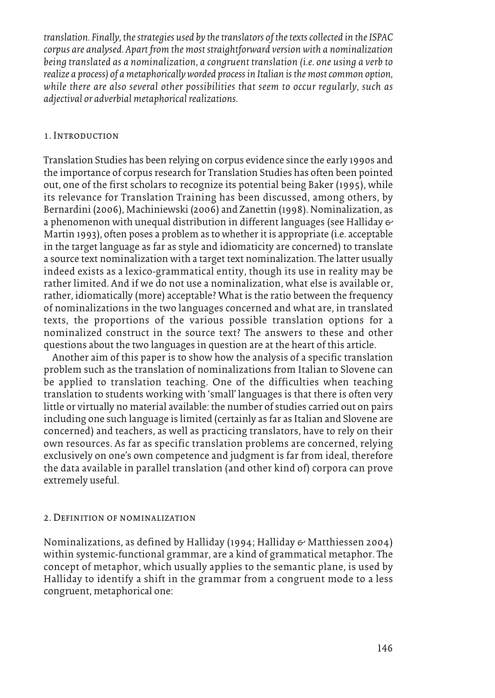*translation. Finally, the strategies used by the translators of the texts collected in the ISPAC corpus are analysed. Apart from the most straightforward version with a nominalization being translated as a nominalization, a congruent translation (i.e. one using a verb to realize a process) of ametaphoricallyworded processin Italian isthemostcommon option, while there are also several other possibilities that seem to occur regularly, such as adjectival or adverbial metaphorical realizations.*

### 1. Introduction

Translation Studies has been relying on corpus evidence since the early 1990s and the importance of corpus research for Translation Studies has often been pointed out, one of the first scholars to recognize its potential being Baker (1995), while its relevance for Translation Training has been discussed, among others, by Bernardini (2006), Machiniewski (2006) and Zanettin (1998). Nominalization, as a phenomenon with unequal distribution in different languages (see Halliday  $\epsilon$ Martin 1993), often poses a problem as to whetherit is appropriate (i.e. acceptable in the target language as far as style and idiomaticity are concerned) to translate a source text nominalization with a target text nominalization. The latter usually indeed exists as a lexico-grammatical entity, though its use in reality may be rather limited. And if we do not use a nominalization, what else is available or, rather, idiomatically (more) acceptable? What is the ratio between the frequency of nominalizations in the two languages concerned and what are, in translated texts, the proportions of the various possible translation options for a nominalized construct in the source text? The answers to these and other questions about the two languages in question are at the heart of this article.

Another aim of this paper is to show how the analysis of a specific translation problem such as the translation of nominalizations from Italian to Slovene can be applied to translation teaching. One of the difficulties when teaching translation to students working with 'small' languages is that there is often very little or virtually no material available: the number of studies carried out on pairs including one such language is limited (certainly as far as Italian and Slovene are concerned) and teachers, as well as practicing translators, have to rely on their own resources. As far as specific translation problems are concerned, relying exclusively on one's own competence and judgment is far from ideal, therefore the data available in parallel translation (and other kind of) corpora can prove extremely useful.

#### 2. Definition of nominalization

Nominalizations, as defined by Halliday (1994; Halliday & Matthiessen 2004) within systemic-functional grammar, are a kind of grammatical metaphor. The concept of metaphor, which usually applies to the semantic plane, is used by Halliday to identify a shift in the grammar from a congruent mode to a less congruent, metaphorical one: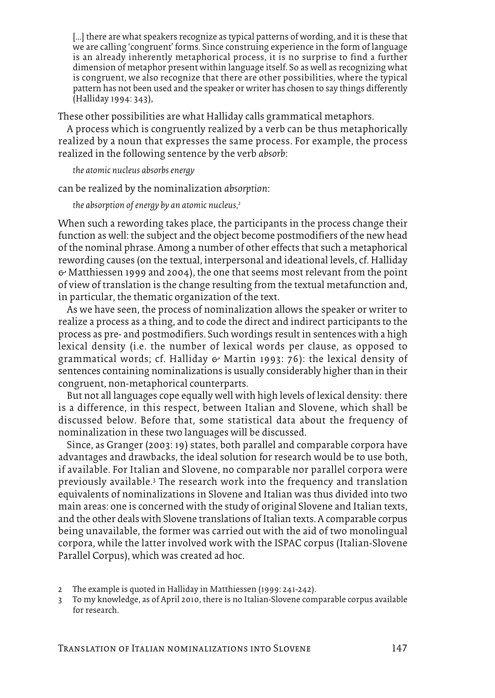[...] there are what speakers recognize as typical patterns of wording, and it is these that we are calling 'congruent' forms. Since construing experience in the form of language is an already inherently metaphorical process, it is no surprise to find a further dimension of metaphor present within language itself. So as well as recognizing what is congruent, we also recognize that there are other possibilities, where the typical pattern has not been used and the speaker or writer has chosen to say things differently (Halliday 1994: 343),

These other possibilities are what Halliday calls grammatical metaphors.

A process which is congruently realized by a verb can be thus metaphorically realized by a noun that expresses the same process. For example, the process realized in the following sentence by the verb *absorb*:

*the atomic nucleus absorbsenergy*

can be realized by the nominalization *absorption*:

*the absorption ofenergy by an atomic nucleus, 2*

When such a rewording takes place, the participants in the process change their function as well: the subject and the object become postmodifiers of the new head of the nominal phrase. Among a number of other effects that such a metaphorical rewording causes (on the textual, interpersonal and ideational levels, cf. Halliday  $\Theta$  Matthiessen 1999 and 2004), the one that seems most relevant from the point of view of translation is the change resulting from the textual metafunction and, in particular, the thematic organization of the text.

As we have seen, the process of nominalization allows the speaker or writer to realize a process as a thing, and to code the direct and indirect participants to the process as pre- and postmodifiers. Such wordings result in sentences with a high lexical density (i.e. the number of lexical words per clause, as opposed to grammatical words; cf. Halliday  $\epsilon$  Martin 1993: 76): the lexical density of sentences containing nominalizations is usually considerably higher than in their congruent, non-metaphorical counterparts.

But not all languages cope equally well with high levels of lexical density: there is a difference, in this respect, between Italian and Slovene, which shall be discussed below. Before that, some statistical data about the frequency of nominalization in these two languages will be discussed.

Since, as Granger (2003: 19) states, both parallel and comparable corpora have advantages and drawbacks, the ideal solution for research would be to use both, if available. For Italian and Slovene, no comparable nor parallel corpora were previously available. <sup>3</sup> The research work into the frequency and translation equivalents of nominalizations in Slovene and Italian was thus divided into two main areas: one is concerned with the study of original Slovene and Italian texts, and the other deals with Slovene translations of Italian texts. A comparable corpus being unavailable, the former was carried out with the aid of two monolingual corpora, while the latter involved work with the ISPAC corpus (Italian-Slovene Parallel Corpus), which was created ad hoc.

<sup>2</sup> The example is quoted in Halliday in Matthiessen (1999: 241-242).

<sup>3</sup> To my knowledge, as of April 2010, there is no Italian-Slovene comparable corpus available for research.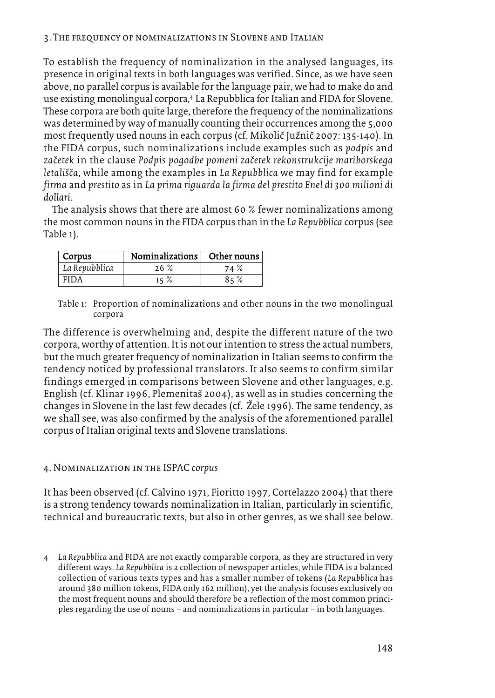To establish the frequency of nominalization in the analysed languages, its presence in original texts in both languages was verified. Since, as we have seen above, no parallel corpus is available for the language pair, we had to make do and use existing monolingual corpora, <sup>4</sup> La Repubblica forItalian and FIDA for Slovene. These corpora are both quite large, therefore the frequency of the nominalizations was determined by way of manually counting their occurrences among the 5,000 most frequently used nouns in each corpus (cf. Mikolič Južnič 2007: 135-140). In the FIDA corpus, such nominalizations include examples such as *podpis* and *zac*à*etek* in the clause *Podpis pogodbe pomeni zac*à*etek rekonstrukcije mariborskega letalis*à*c*à*a*, while among the examples in *La Repubblica* we may find for example *firma* and *prestito* as in *La prima riguarda la firma del prestito Enel di 300 milioni di dollari*.

The analysis shows that there are almost 60 % fewer nominalizations among the most common nouns in the FIDA corpus than in the *La Repubblica* corpus (see Table 1).

| Corpus        | <b>Nominalizations</b> | Other nouns |
|---------------|------------------------|-------------|
| La Repubblica | 26%                    | 74%         |
| FIDA          | $15 \%$                | 85%         |

Table 1: Proportion of nominalizations and other nouns in the two monolingual corpora

The difference is overwhelming and, despite the different nature of the two corpora, worthy of attention. It is not ourintention to stress the actual numbers, but the much greater frequency of nominalization in Italian seems to confirm the tendency noticed by professional translators. It also seems to confirm similar findings emerged in comparisons between Slovene and other languages, e.g. English (cf. Klinar 1996, Plemenitaš 2004), as well as in studies concerning the changes in Slovene in the last few decades (cf. Žele 1996). The same tendency, as we shall see, was also confirmed by the analysis of the aforementioned parallel corpus of Italian original texts and Slovene translations.

# 4. Nominalization in the ISPAC *corpus*

It has been observed (cf. Calvino 1971, Fioritto 1997, Cortelazzo 2004) that there is a strong tendency towards nominalization in Italian, particularly in scientific, technical and bureaucratic texts, but also in other genres, as we shall see below.

4 *La Repubblica* and FIDA are not exactly comparable corpora, as they are structured in very different ways. *La Repubblica* is a collection of newspaper articles, while FIDA is a balanced collection of various texts types and has a smaller number of tokens (*La Repubblica* has around 380 million tokens, FIDA only 162 million), yet the analysis focuses exclusively on the most frequent nouns and should therefore be a reflection of the most common principles regarding the use of nouns – and nominalizations in particular – in both languages.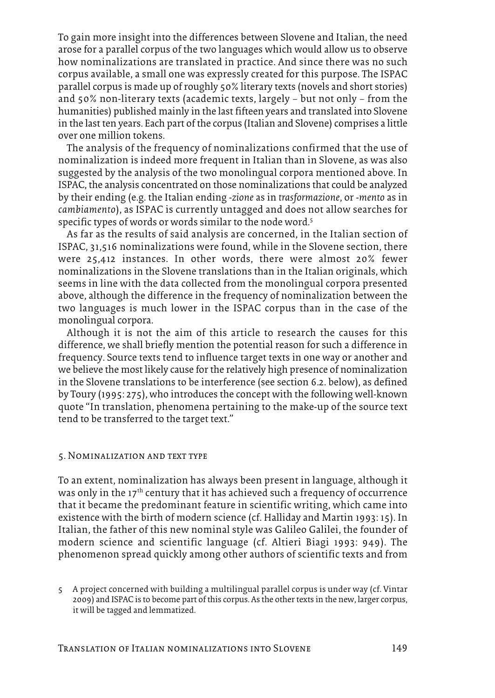To gain more insight into the differences between Slovene and Italian, the need arose for a parallel corpus of the two languages which would allow us to observe how nominalizations are translated in practice. And since there was no such corpus available, a small one was expressly created for this purpose. The ISPAC parallel corpus is made up ofroughly 50% literary texts (novels and short stories) and 50% non-literary texts (academic texts, largely – but not only – from the humanities) published mainly in the last fifteen years and translated into Slovene in the last ten years. Each part of the corpus (Italian and Slovene) comprises a little over one million tokens.

The analysis of the frequency of nominalizations confirmed that the use of nominalization is indeed more frequent in Italian than in Slovene, as was also suggested by the analysis of the two monolingual corpora mentioned above. In ISPAC, the analysis concentrated on those nominalizations that could be analyzed by their ending (e.g. the Italian ending *-zione* as in *trasformazione*, or *-mento* as in *cambiamento*), as ISPAC is currently untagged and does not allow searches for specific types of words or words similar to the node word. $^{\mathrm{s}}$ 

As far as the results of said analysis are concerned, in the Italian section of ISPAC, 31,516 nominalizations were found, while in the Slovene section, there were 25,412 instances. In other words, there were almost 20% fewer nominalizations in the Slovene translations than in the Italian originals, which seems in line with the data collected from the monolingual corpora presented above, although the difference in the frequency of nominalization between the two languages is much lower in the ISPAC corpus than in the case of the monolingual corpora.

Although it is not the aim of this article to research the causes for this difference, we shall briefly mention the potential reason for such a difference in frequency. Source texts tend to influence target texts in one way or another and we believe the most likely cause forthe relatively high presence of nominalization in the Slovene translations to be interference (see section 6.2. below), as defined by Toury (1995: 275), who introduces the concept with the following well-known quote "In translation, phenomena pertaining to the make-up of the source text tend to be transferred to the target text."

#### 5. Nominalization and text type

To an extent, nominalization has always been present in language, although it was only in the  $17<sup>th</sup>$  century that it has achieved such a frequency of occurrence that it became the predominant feature in scientific writing, which came into existence with the birth of modern science (cf. Halliday and Martin 1993: 15). In Italian, the father of this new nominal style was Galileo Galilei, the founder of modern science and scientific language (cf. Altieri Biagi 1993: 949). The phenomenon spread quickly among other authors of scientific texts and from

<sup>5</sup> A project concerned with building a multilingual parallel corpus is under way (cf. Vintar 2009) and ISPAC is to become part of this corpus. As the other texts in the new, larger corpus, it will be tagged and lemmatized.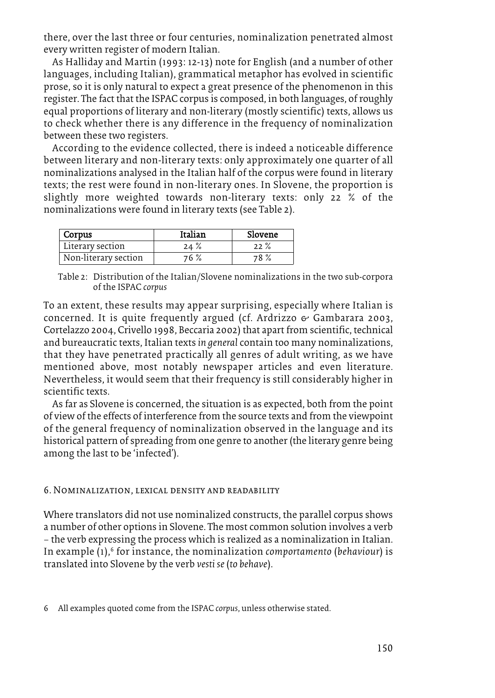there, over the last three or four centuries, nominalization penetrated almost every written register of modern Italian.

As Halliday and Martin (1993: 12-13) note for English (and a number of other languages, including Italian), grammatical metaphor has evolved in scientific prose, so it is only natural to expect a great presence of the phenomenon in this register. The fact that the ISPAC corpus is composed, in both languages, ofroughly equal proportions of literary and non-literary (mostly scientific) texts, allows us to check whether there is any difference in the frequency of nominalization between these two registers.

According to the evidence collected, there is indeed a noticeable difference between literary and non-literary texts: only approximately one quarter of all nominalizations analysed in the Italian half of the corpus were found in literary texts; the rest were found in non-literary ones. In Slovene, the proportion is slightly more weighted towards non-literary texts: only 22 % of the nominalizations were found in literary texts (see Table 2).

| Corpus               | Italian | Slovene |
|----------------------|---------|---------|
| Literary section     | $24 \%$ | $22 \%$ |
| Non-literary section | 76 %    | 78 %    |

Table 2: Distribution of the Italian/Slovene nominalizations in the two sub-corpora of the ISPAC *corpus*

To an extent, these results may appear surprising, especially where Italian is concerned. It is quite frequently argued (cf. Ardrizzo  $\epsilon$  Gambarara 2003, Cortelazzo 2004, Crivello 1998, Beccaria 2002) that apart from scientific, technical and bureaucratic texts, Italian texts *in general* contain too many nominalizations, that they have penetrated practically all genres of adult writing, as we have mentioned above, most notably newspaper articles and even literature. Nevertheless, it would seem that their frequency is still considerably higher in scientific texts.

As far as Slovene is concerned, the situation is as expected, both from the point of view of the effects of interference from the source texts and from the viewpoint of the general frequency of nominalization observed in the language and its historical pattern of spreading from one genre to another (the literary genre being among the last to be 'infected').

# 6. Nominalization, lexical density and readability

Where translators did not use nominalized constructs, the parallel corpus shows a number of other options in Slovene. The most common solution involves a verb – the verb expressing the process which is realized as a nominalization in Italian. In example (1), <sup>6</sup> for instance, the nominalization *comportamento* (*behaviour*) is translated into Slovene by the verb *vesti se*(*to behave*).

<sup>6</sup> All examples quoted come from the ISPAC *corpus*, unless otherwise stated.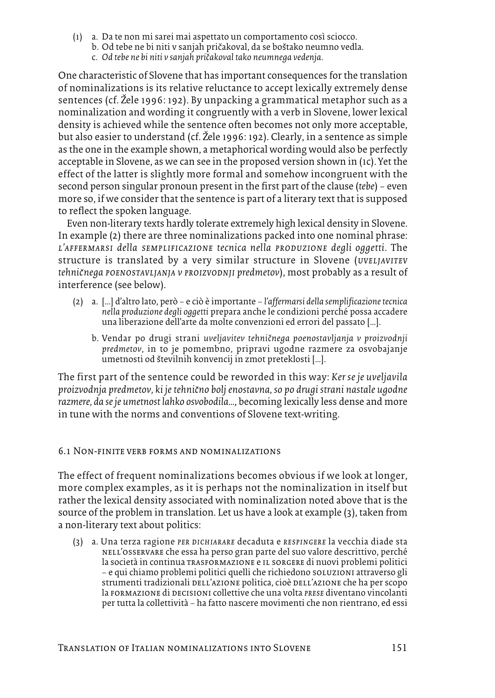- (1) a. Da te non mi sarei mai aspettato un comportamento così sciocco.
	- b. Od tebe ne bi niti v sanjah pričakoval, da se boštako neumno vedla.
	- c. *Od tebe ne bi niti v sanjah pric*à*akoval tako neumnega vedenja*.

One characteristic of Slovene that has important consequences for the translation of nominalizations is its relative reluctance to accept lexically extremely dense sentences (cf. Žele 1996: 192). By unpacking a grammatical metaphor such as a nominalization and wording it congruently with a verb in Slovene, lower lexical density is achieved while the sentence often becomes not only more acceptable, but also easier to understand (cf. Žele 1996: 192). Clearly, in a sentence as simple as the one in the example shown, a metaphorical wording would also be perfectly acceptable in Slovene, as we can see in the proposed version shown in (1c). Yet the effect of the latter is slightly more formal and somehow incongruent with the second person singular pronoun present in the first part of the clause (*tebe*) – even more so, if we consider that the sentence is part of a literary text that is supposed to reflect the spoken language.

Even non-literary texts hardly tolerate extremely high lexical density in Slovene. In example (2) there are three nominalizations packed into one nominal phrase: *l'affermarsi della semplificazione tecnica nella produzione degli oggetti*. The structure is translated by a very similar structure in Slovene (*uveljavitev tehnic*à*nega poenostavljanja v proizvodnji predmetov*), most probably as a result of interference (see below).

- (2) a. […] d'altro lato, però e ciò è importante *l'affermarsi della semplificazionetecnica nella produzione degli oggetti* prepara anche le condizioni perché possa accadere una liberazione dell'arte da molte convenzioni ed errori del passato […].
	- b. Vendar po drugi strani *uveljavitev tehnic*à*nega poenostavljanja v proizvodnji predmetov*, in to je pomembno, pripravi ugodne razmere za osvobajanje umetnosti od številnih konvencij in zmot preteklosti [...].

The first part of the sentence could be reworded in this way: *Ker se je uveljavila proizvodnja predmetov, ki jetehnic*à*no boljenostavna, so po drugi strani nastale ugodne razmere, da seje umetnost lahko osvobodila…*, becoming lexically less dense and more in tune with the norms and conventions of Slovene text-writing.

# 6.1 Non-finite verb forms and nominalizations

The effect of frequent nominalizations becomes obvious if we look at longer, more complex examples, as it is perhaps not the nominalization in itself but rather the lexical density associated with nominalization noted above that is the source of the problem in translation. Let us have a look at example (3), taken from a non-literary text about politics:

(3) a. Una terza ragione *per dichiarare* decaduta e *respingere* la vecchia diade sta nell'osservare che essa ha perso gran parte del suo valore descrittivo, perché la società in continua trasformazione e il sorgere di nuovi problemi politici – e qui chiamo problemi politici quelli che richiedono soluzioni attraverso gli strumenti tradizionali DELL'AZIONE politica, cioè DELL'AZIONE che ha per scopo la formazione di decisioni collettive che una volta *prese* diventano vincolanti pertutta la collettività – ha fatto nascere movimenti che non rientrano, ed essi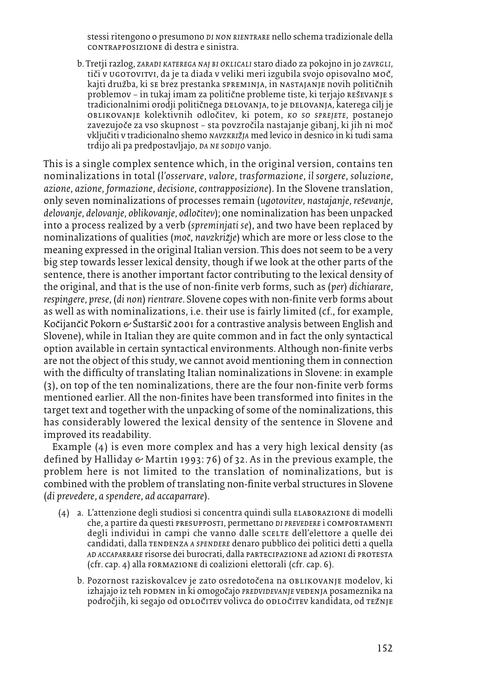stessiritengono o presumono *di non rientrare* nello schema tradizionale della contrapposizione di destra e sinistra.

b. Tretjirazlog, *zaradi katerega naj bi oklicali* staro diado za pokojno in jo *zavrgli*, tiči v ugotovitvi, da je ta diada v veliki meri izgubila svojo opisovalno moč, kajti družba, ki se brez prestanka spreminja, in nastajanje novih političnih problemov – in tukaj imam za politične probleme tiste, ki terjajo reševanje s tradicionalnimi orodji političnega delovanja, to je delovanja, katerega cilj je oblikovanje kolektivnih odlocàitev, ki potem, *ko so sprejete*, postanejo zavezujoče za vso skupnost – sta povzročila nastajanje gibanj, ki jih ni moč vkljucàiti v tradicionalno shemo *navzkriz*à*ja* med levico in desnico in ki tudi sama trdijo ali pa predpostavljajo, *da ne sodijo* vanjo.

This is a single complex sentence which, in the original version, contains ten nominalizations in total (*l'osservare*, *valore*, *trasformazione*, *il sorgere*, *soluzione*, *azione*, *azione*, *formazione*, *decisione*, *contrapposizione*). In the Slovene translation, only seven nominalizations of processes remain (*ugotovitev*, *nastajanje*, *res*à*evanje*, *delovanje*, *delovanje*, *oblikovanje*, *odloc*à*itev*); one nominalization has been unpacked into a process realized by a verb (*spreminjati se*), and two have been replaced by nominalizations of qualities (*moc*à, *navzkriz*à*je*) which are more or less close to the meaning expressed in the original Italian version. This does not seem to be a very big step towards lesser lexical density, though if we look at the other parts of the sentence, there is another important factor contributing to the lexical density of the original, and that is the use of non-finite verb forms, such as (*per*) *dichiarare*, *respingere*, *prese*, (*di non*) *rientrare*. Slovene copes with non-finite verb forms about as well as with nominalizations, i.e. their use is fairly limited (cf., for example, Kočijančič Pokorn & Šuštaršič 2001 for a contrastive analysis between English and Slovene), while in Italian they are quite common and in fact the only syntactical option available in certain syntactical environments. Although non-finite verbs are not the object of this study, we cannot avoid mentioning them in connection with the difficulty of translating Italian nominalizations in Slovene: in example (3), on top of the ten nominalizations, there are the four non-finite verb forms mentioned earlier. All the non-finites have been transformed into finites in the target text and together with the unpacking of some of the nominalizations, this has considerably lowered the lexical density of the sentence in Slovene and improved its readability.

Example (4) is even more complex and has a very high lexical density (as defined by Halliday  $\epsilon$  Martin 1993: 76) of 32. As in the previous example, the problem here is not limited to the translation of nominalizations, but is combined with the problem of translating non-finite verbal structures in Slovene (*di prevedere*, *a spendere*, *ad accaparrare*).

- (4) a. L'attenzione degli studiosi si concentra quindi sulla elaborazione di modelli che, a partire da questi presupposti, permettano *di prevedere* i comportamenti degli individui in campi che vanno dalle scelle dell'elettore a quelle dei candidati, dalla tendenza *a spendere* denaro pubblico dei politici detti a quella *ad accaparrare* risorse dei burocrati, dalla partecipazione ad azioni di protesta (cfr. cap. 4) alla formazione di coalizioni elettorali (cfr. cap. 6).
	- b. Pozornost raziskovalcev je zato osredotočena na OBLIKOVANJE modelov, ki izhajajo iz teh podmen in ki omogocàajo *predvidevanje* vedenja posameznika na področjih, ki segajo od odločitev volivca do odločitev kandidata, od težnje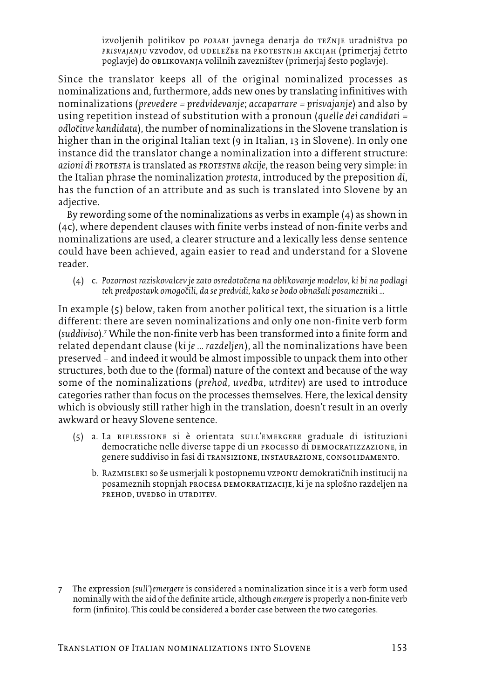izvoljenih politikov po *porabi* javnega denarja do režnje uradništva po *prisvajanju* vzvodov, od udelezàbe na protestnih akcijah (primerjaj càetrto poglavje) do oblikovanja volilnih zavezništev (primerjaj šesto poglavje).

Since the translator keeps all of the original nominalized processes as nominalizations and, furthermore, adds new ones by translating infinitives with nominalizations (*prevedere* <sup>=</sup> *predvidevanje*; *accaparrare* <sup>=</sup> *prisvajanje*) and also by using repetition instead of substitution with a pronoun (*quelle dei candidati* <sup>=</sup> *odloc*à*itve kandidata*), the number of nominalizations in the Slovene translation is higher than in the original Italian text (9 in Italian, 13 in Slovene). In only one instance did the translator change a nominalization into a different structure: *azioni di protesta* is translated as *protestne akcije*, the reason being very simple: in the Italian phrase the nominalization *protesta*, introduced by the preposition *di*, has the function of an attribute and as such is translated into Slovene by an adjective.

By rewording some of the nominalizations as verbs in example (4) as shown in (4c), where dependent clauses with finite verbs instead of non-finite verbs and nominalizations are used, a clearer structure and a lexically less dense sentence could have been achieved, again easier to read and understand for a Slovene reader.

(4) c. *Pozornost raziskovalcev je zato osredotoc*à*ena na oblikovanje modelov, ki bi na podlagi teh predpostavk omogoc*à*ili, da se predvidi, kako se bodo obnas*à*ali posamezniki …*

In example (5) below, taken from another political text, the situation is a little different: there are seven nominalizations and only one non-finite verb form (*suddiviso*). <sup>7</sup> While the non-finite verb has been transformed into a finite form and related dependant clause (*ki je ... razdeljen*), all the nominalizations have been preserved – and indeed it would be almost impossible to unpack them into other structures, both due to the (formal) nature of the context and because of the way some of the nominalizations (*prehod*, *uvedba*, *utrditev*) are used to introduce categories rather than focus on the processes themselves. Here, the lexical density which is obviously still rather high in the translation, doesn't result in an overly awkward or heavy Slovene sentence.

- (5) a. La riflessione si è orientata sull'emergere graduale di istituzioni democratiche nelle diverse tappe di un processo di democratizzazione, in genere suddiviso in fasi di transizione, instaurazione, consolidamento.
	- b. RAZMISLEKI so še usmerjali k postopnemu vzponu demokratičnih institucij na posameznih stopnjah procesa demokratizacije, ki je na splosàno razdeljen na prehod, uvedbo in utrditev.

7 The expression (*sull'*)*emergere* is considered a nominalization since it is a verb form used nominally with the aid of the definite article, although *emergere*is properly a non-finite verb form (infinito). This could be considered a border case between the two categories.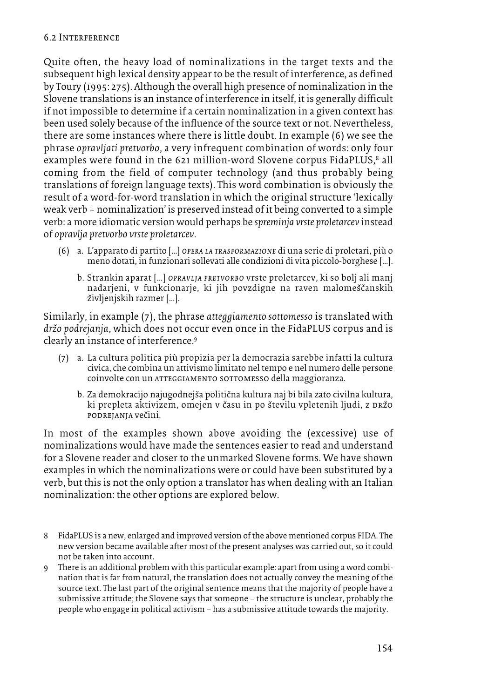Quite often, the heavy load of nominalizations in the target texts and the subsequent high lexical density appear to be the result of interference, as defined by Toury (1995: 275). Although the overall high presence of nominalization in the Slovene translations is an instance of interference in itself, it is generally difficult if not impossible to determine if a certain nominalization in a given context has been used solely because of the influence of the source text or not. Nevertheless, there are some instances where there is little doubt. In example (6) we see the phrase *opravljati pretvorbo*, a very infrequent combination of words: only four examples were found in the 621 million-word Slovene corpus FidaPLUS, <sup>8</sup> all coming from the field of computer technology (and thus probably being translations of foreign language texts). This word combination is obviously the result of a word-for-word translation in which the original structure 'lexically weak verb + nominalization' is preserved instead of it being converted to a simple verb: a more idiomatic version would perhaps be *spreminja vrste proletarcev* instead of *opravlja pretvorbo vrste proletarcev*.

- (6) a. L'apparato di partito […] *opera la trasformazione* di una serie di proletari, più o meno dotati, in funzionari sollevati alle condizioni di vita piccolo-borghese […].
	- b. Strankin aparat […] *opravlja pretvorbo* vrste proletarcev, ki so bolj ali manj nadarjeni, v funkcionarje, ki jih povzdigne na raven malomeščanskih življenjskih razmer [...].

Similarly, in example (7), the phrase *atteggiamento sottomesso* is translated with *drz*à *o podrejanja*, which does not occur even once in the FidaPLUS corpus and is clearly an instance of interference. 9

- (7) a. La cultura politica più propizia per la democrazia sarebbe infatti la cultura civica, che combina un attivismo limitato nel tempo e nel numero delle persone coinvolte con un atteggiamento sottomesso della maggioranza.
	- b. Za demokracijo najugodnejša politična kultura naj bi bila zato civilna kultura, ki prepleta aktivizem, omejen v času in po številu vpletenih ljudi, z pržo podrejanja vecàini.

In most of the examples shown above avoiding the (excessive) use of nominalizations would have made the sentences easier to read and understand for a Slovene reader and closer to the unmarked Slovene forms. We have shown examples in which the nominalizations were or could have been substituted by a verb, but this is not the only option a translator has when dealing with an Italian nominalization: the other options are explored below.

- 8 FidaPLUS is a new, enlarged and improved version of the above mentioned corpus FIDA. The new version became available after most of the present analyses was carried out, so it could not be taken into account.
- 9 There is an additional problem with this particular example: apart from using a word combination that is far from natural, the translation does not actually convey the meaning of the source text. The last part of the original sentence means that the majority of people have a submissive attitude; the Slovene says that someone – the structure is unclear, probably the people who engage in political activism – has a submissive attitude towards the majority.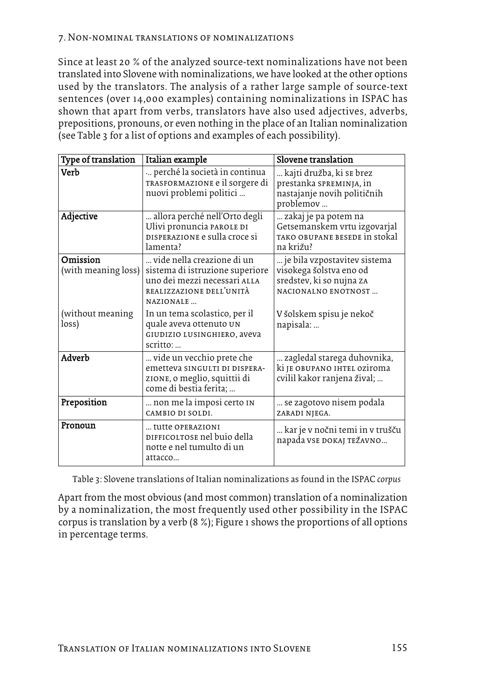### 7. Non-nominal translations of nominalizations

Since at least 20 % of the analyzed source-text nominalizations have not been translated into Slovene with nominalizations, we have looked at the other options used by the translators. The analysis of a rather large sample of source-text sentences (over 14,000 examples) containing nominalizations in ISPAC has shown that apart from verbs, translators have also used adjectives, adverbs, prepositions, pronouns, or even nothing in the place of an Italian nominalization (see Table 3 for a list of options and examples of each possibility).

| Type of translation             | Italian example                                                                                                                        | Slovene translation                                                                                               |
|---------------------------------|----------------------------------------------------------------------------------------------------------------------------------------|-------------------------------------------------------------------------------------------------------------------|
| <b>Verb</b>                     | perché la società in continua<br>TRASFORMAZIONE e il sorgere di<br>nuovi problemi politici                                             | kajti družba, ki se brez<br>prestanka SPREMINJA, in<br>nastajanje novih političnih<br>problemov                   |
| Adjective                       | allora perché nell'Orto degli<br>Ulivi pronuncia PAROLE DI<br>DISPERAZIONE e sulla croce si<br>lamenta?                                | zakaj je pa potem na<br>Getsemanskem vrtu izgovarjal<br>TAKO OBUPANE BESEDE IN STOKAL<br>na križu?                |
| Omission<br>(with meaning loss) | vide nella creazione di un<br>sistema di istruzione superiore<br>uno dei mezzi necessari ALLA<br>REALIZZAZIONE DELL'UNITÀ<br>NAZIONALE | je bila vzpostavitev sistema<br>visokega šolstva eno od<br>sredstev, ki so nujna za<br><b>NACIONALNO ENOTNOST</b> |
| (without meaning<br>loss)       | In un tema scolastico, per il<br>quale aveva ottenuto UN<br>GIUDIZIO LUSINGHIERO, aveva<br>scritto:                                    | V šolskem spisu je nekoč<br>napisala:                                                                             |
| Adverb                          | vide un vecchio prete che<br>emetteva SINGULTI DI DISPERA-<br>zione, o meglio, squittii di<br>come di bestia ferita;                   | zagledal starega duhovnika,<br>ki je obupano ihtel oziroma<br>cvilil kakor ranjena žival;                         |
| Preposition                     | non me la imposi certo IN<br>CAMBIO DI SOLDI.                                                                                          | se zagotovo nisem podala<br>ZARADI NJEGA.                                                                         |
| Pronoun                         | tutte OPERAZIONI<br>DIFFICOLTOSE nel buio della<br>notte e nel tumulto di un<br>attacco                                                | kar je v nočni temi in v trušču<br>napada VSE DOKAJ TEŽAVNO                                                       |

Table 3: Slovene translations of Italian nominalizations as found in the ISPAC *corpus*

Apart from the most obvious (and most common) translation of a nominalization by a nominalization, the most frequently used other possibility in the ISPAC corpus is translation by a verb (8 %); Figure 1 shows the proportions of all options in percentage terms.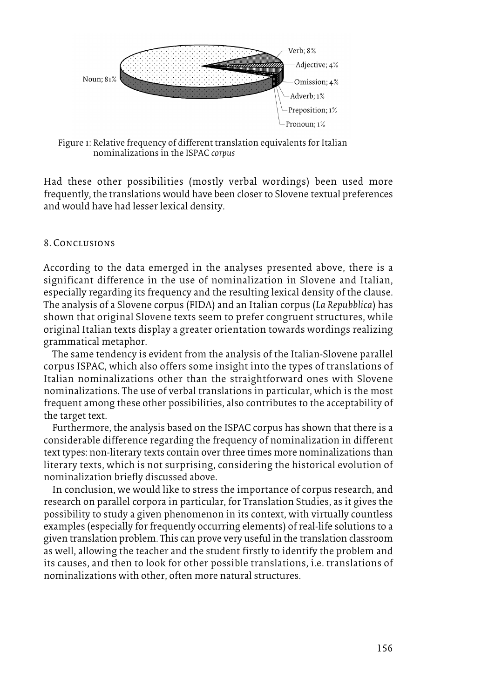

Figure 1: Relative frequency of different translation equivalents for Italian nominalizations in the ISPAC *corpus*

Had these other possibilities (mostly verbal wordings) been used more frequently, the translations would have been closer to Slovene textual preferences and would have had lesserlexical density.

# 8. Conclusions

According to the data emerged in the analyses presented above, there is a significant difference in the use of nominalization in Slovene and Italian, especially regarding its frequency and the resulting lexical density of the clause. The analysis of a Slovene corpus (FIDA) and an Italian corpus (*La Repubblica*) has shown that original Slovene texts seem to prefer congruent structures, while original Italian texts display a greater orientation towards wordings realizing grammatical metaphor.

The same tendency is evident from the analysis of the Italian-Slovene parallel corpus ISPAC, which also offers some insight into the types of translations of Italian nominalizations other than the straightforward ones with Slovene nominalizations. The use of verbal translations in particular, which is the most frequent among these other possibilities, also contributes to the acceptability of the target text.

Furthermore, the analysis based on the ISPAC corpus has shown that there is a considerable difference regarding the frequency of nominalization in different text types: non-literary texts contain overthree times more nominalizations than literary texts, which is not surprising, considering the historical evolution of nominalization briefly discussed above.

In conclusion, we would like to stress the importance of corpus research, and research on parallel corpora in particular, for Translation Studies, as it gives the possibility to study a given phenomenon in its context, with virtually countless examples (especially for frequently occurring elements) of real-life solutions to a given translation problem. This can prove very useful in the translation classroom as well, allowing the teacher and the student firstly to identify the problem and its causes, and then to look for other possible translations, i.e. translations of nominalizations with other, often more natural structures.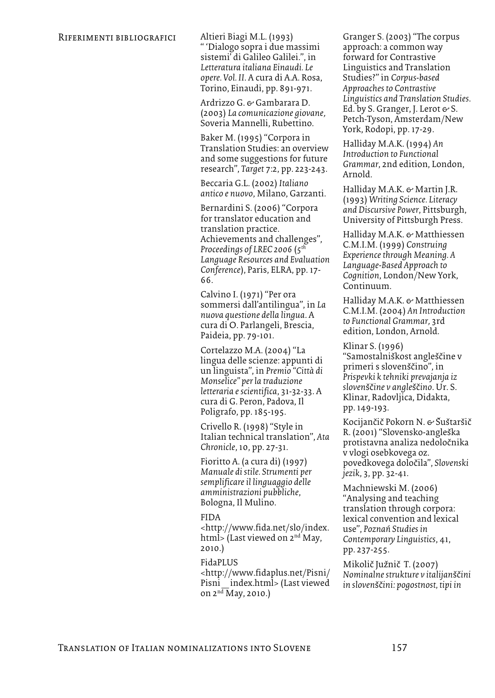" 'Dialogo sopra i due massimi sistemi' di Galileo Galilei.", in *Letteratura italiana Einaudi. Le opere. Vol. II*. A cura di A.A. Rosa, Torino, Einaudi, pp. 891-971.

Ardrizzo G. & Gambarara D. (2003) *La comunicazione giovane*, Soveria Mannelli, Rubettino.

Baker M. (1995) "Corpora in Translation Studies: an overview and some suggestions for future research", *Target* 7:2, pp. 223-243.

Beccaria G.L. (2002) *Italiano antico e nuovo*, Milano, Garzanti.

Bernardini S. (2006) "Corpora for translator education and translation practice. Achievements and challenges", *Proceedings of LREC 2006* (*5th Language Resources and Evaluation Conference*), Paris, ELRA, pp. 17- 66.

Calvino I. (1971) "Per ora sommersi dall'antilingua", in *La nuova questione della lingua*. A cura di O. Parlangeli, Brescia, Paideia, pp. 79-101.

Cortelazzo M.A. (2004) "La lingua delle scienze: appunti di un linguista", in *Premio "Città di Monselice" per la traduzione letteraria escientifica*, 31-32-33. A cura di G. Peron, Padova, Il Poligrafo, pp. 185-195.

Crivello R. (1998) "Style in Italian technical translation", *Ata Chronicle*, 10, pp. 27-31.

Fioritto A. (a cura di) (1997) *Manuale di stile. Strumenti per semplificareil linguaggio delle amministrazioni pubbliche*, Bologna, Il Mulino.

#### FIDA

<http://www.fida.net/slo/index. html> (Last viewed on 2<sup>nd</sup> May, 2010.)

#### FidaPLUS

<http://www.fidaplus.net/Pisni/ Pisni\_index.html> (Last viewed on  $2<sup>nd</sup>$  May, 2010.)

Granger S. (2003) "The corpus approach: a common way forward for Contrastive Linguistics and Translation Studies?" in *Corpus-based Approaches to Contrastive Linguistics and Translation Studies*. Ed. by S. Granger, J. Lerot  $\leftrightarrow$  S. Petch-Tyson, Amsterdam/New York, Rodopi, pp. 17-29.

Halliday M.A.K. (1994) *An Introduction to Functional Grammar*, 2nd edition, London, Arnold.

Halliday M.A.K. & Martin J.R. (1993) *Writing Science. Literacy and Discursive Power*, Pittsburgh, University of Pittsburgh Press.

Halliday M.A.K. & Matthiessen C.M.I.M. (1999) *Construing Experiencethrough Meaning. A Language-Based Approach to Cognition*, London/New York, Continuum.

Halliday M.A.K. & Matthiessen C.M.I.M. (2004) *An Introduction to Functional Grammar*, 3rd edition, London, Arnold.

Klinar S. (1996) "Samostalniškost angleščine v primeri s slovenščino", in *Prispevki k tehniki prevajanja iz sloven*sàcà*ine v angle*sàcà*ino*. Ur. S. Klinar, Radovljica, Didakta, pp. 149-193.

Kocijančič Pokorn N. & Šuštaršič R. (2001) "Slovensko-angleška protistavna analiza nedoločnika v vlogi osebkovega oz. povedkovega dolocàila", *Slovenski jezik*, 3, pp. 32-41.

Machniewski M. (2006) "Analysing and teaching translation through corpora: lexical convention and lexical use", *Poznan Studies in Contemporary Linguistics*, 41, pp. 237-255.

Mikolič Južnič T. (2007) *Nominalnestrukture v italijan*sàcà*ini in sloven*sàcà*ini: pogostnost, tipi in*